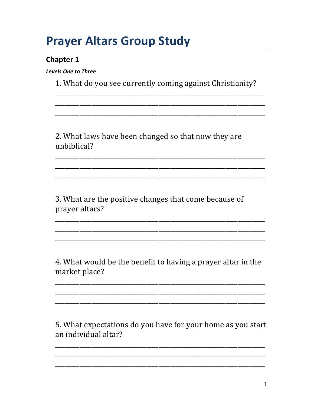# **Prayer Altars Group Study**

### **Chapter 1**

**Levels One to Three** 

1. What do you see currently coming against Christianity?

<u> 1989 - Johann Stein, marwolaethau a bhann an chomhair an chomhair an chomhair an chomhair an chomhair an chom</u>

2. What laws have been changed so that now they are unbiblical?

3. What are the positive changes that come because of prayer altars?

4. What would be the benefit to having a prayer altar in the market place?

5. What expectations do you have for your home as you start an individual altar?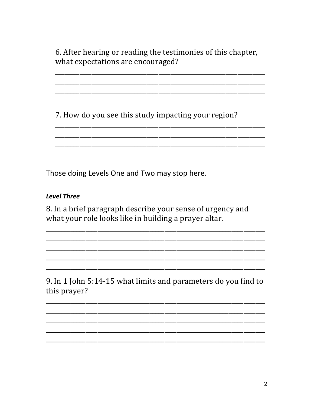6. After hearing or reading the testimonies of this chapter, what expectations are encouraged?

7. How do you see this study impacting your region?

Those doing Levels One and Two may stop here.

### **Level Three**

8. In a brief paragraph describe your sense of urgency and what your role looks like in building a prayer altar.

9. In 1 John 5:14-15 what limits and parameters do you find to this prayer?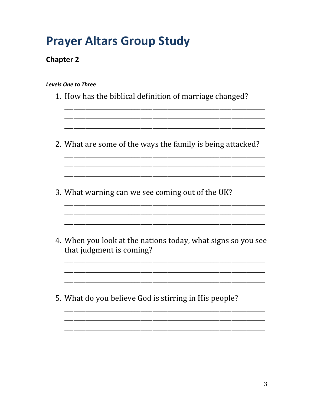## **Prayer Altars Group Study**

## **Chapter 2**

#### Levels One to Three

| 1. How has the biblical definition of marriage changed?                                  |
|------------------------------------------------------------------------------------------|
| 2. What are some of the ways the family is being attacked?                               |
| 3. What warning can we see coming out of the UK?                                         |
| 4. When you look at the nations today, what signs so you see<br>that judgment is coming? |
| 5. What do you believe God is stirring in His people?                                    |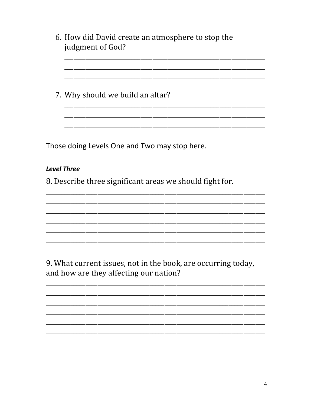| 6. How did David create an atmosphere to stop the<br>judgment of God?                                   |
|---------------------------------------------------------------------------------------------------------|
|                                                                                                         |
| 7. Why should we build an altar?                                                                        |
|                                                                                                         |
| Those doing Levels One and Two may stop here.                                                           |
| <b>Level Three</b>                                                                                      |
| 8. Describe three significant areas we should fight for.                                                |
|                                                                                                         |
|                                                                                                         |
|                                                                                                         |
|                                                                                                         |
| 9. What current issues, not in the book, are occurring today,<br>and how are they affecting our nation? |
|                                                                                                         |
|                                                                                                         |

—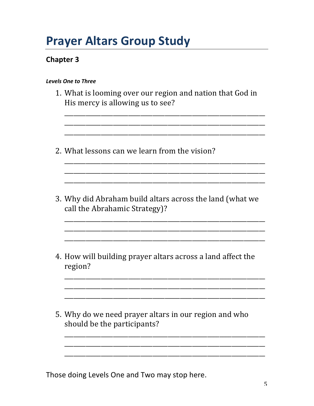## **Prayer Altars Group Study**

## **Chapter 3**

| <b>Levels One to Three</b>                                                                    |
|-----------------------------------------------------------------------------------------------|
| 1. What is looming over our region and nation that God in<br>His mercy is allowing us to see? |
| 2. What lessons can we learn from the vision?                                                 |
| 3. Why did Abraham build altars across the land (what we<br>call the Abrahamic Strategy)?     |
| 4. How will building prayer altars across a land affect the<br>region?                        |
| 5. Why do we need prayer altars in our region and who<br>should be the participants?          |
|                                                                                               |

Those doing Levels One and Two may stop here.